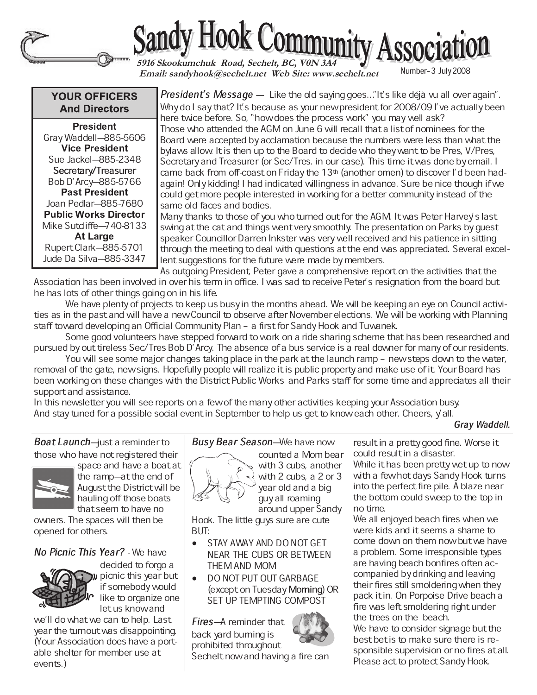



 **Email: sandyhook@sechelt.net Web Site: www.sechelt.net**

## **YOUR OFFICERS And Directors**

 - - Gray Waddell-885-5606 - - Sue Jackel-885-2348 Secretary/Treasurer Bob D'Arcy-885-5766 - - Joan Pedlar-885-7680 **Public Works Director** Mike Sutcliffe-740-8133 Rupert Clark-885-5701 Jude Da Silva-885-3347

President's Message — Like the old saying goes..."It's like déjà vu all over again". Why do I say that? It's because as your new president for 2008/09 I've actually been here twice before. So, "how does the process work" you may well ask? Those who attended the AGM on June 6 will recall that a list of nominees for the Board were accepted by acclamation because the numbers were less than what the bylaws allow. It is then up to the Board to decide who they want to be Pres, V/Pres, Secretary and Treasurer (or Sec/Tres. in our case). This time it was done by email. I came back from off-coast on Friday the  $13<sup>th</sup>$  (another omen) to discover I'd been hadagain! Only kidding! I had indicated willingness in advance. Sure be nice though if we could get more people interested in working for a better community instead of the same old faces and bodies.

Many thanks to those of you who turned out for the AGM. It was Peter Harvey's last swing at the cat and things went very smoothly. The presentation on Parks by guest speaker Councillor Darren Inkster was very well received and his patience in sitting through the meeting to deal with questions at the end was appreciated. Several excellent suggestions for the future were made by members.

As outgoing President, Peter gave a comprehensive report on the activities that the Association has been involved in over his term in office. I was sad to receive Peter's resignation from the board but he has lots of other things going on in his life.

We have plenty of projects to keep us busy in the months ahead. We will be keeping an eye on Council activities as in the past and will have a new Council to observe after November elections. We will be working with Planning staff toward developing an Official Community Plan - a first for Sandy Hook and Tuwanek.

Some good volunteers have stepped forward to work on a ride sharing scheme that has been researched and pursued by out tireless Sec/Tres Bob D'Arcy. The absence of a bus service is a real downer for many of our residents.

You will see some major changes taking place in the park at the launch ramp - new steps down to the water, removal of the gate, new signs. Hopefully people will realize it is public property and make use of it. Your Board has been working on these changes with the District Public Works and Parks staff for some time and appreciates all their support and assistance.

In this newsletter you will see reports on a few of the many other activities keeping your Association busy. And stay tuned for a possible social event in September to help us get to know each other. Cheers, y'all.

Gray Waddell.

*Boat Launch*⊣ust a reminder to those who have not registered their



space and have a boat at the ramp-at the end of August the District will be hauling off those boats that seem to have no

owners. The spaces will then be opened for others.

## No Picnic This Year? - We have



decided to forgo a picnic this year but if somebody would like to organize one let us know and

we'll do what we can to help. Last year the turnout was disappointing. (Your Association does have a portable shelter for member use at events.)

# Busy Bear Season-We have now



with 3 cubs, another with 2 cubs, a 2 or 3 year old and a big guy all roaming around upper Sandy

counted a Mom bear

Hook. The little guys sure are cute BUT:

- STAY AWAY AND DO NOT GET NEAR THE CUBS OR BETWEEN THEM AND MOM
- DO NOT PUT OUT GARBAGE (except on Tuesday Moming) OR SET UP TEMPTING COMPOST

Fires-A reminder that back yard burning is prohibited throughout

Sechelt now and having a fire can

result in a pretty good fine. Worse it could result in a disaster.

While it has been pretty wet up to now with a few hot days Sandy Hook turns into the perfect fire pile. A blaze near the bottom could sweep to the top in no time.

We all enjoyed beach fires when we were kids and it seems a shame to come down on them now but we have a problem. Some irresponsible types are having beach bonfires often accompanied by drinking and leaving their fires still smoldering when they pack it in. On Porpoise Drive beach a fire was left smoldering right under the trees on the beach. We have to consider signage but the best bet is to make sure there is responsible supervision or no fires at all. Please act to protect Sandy Hook.